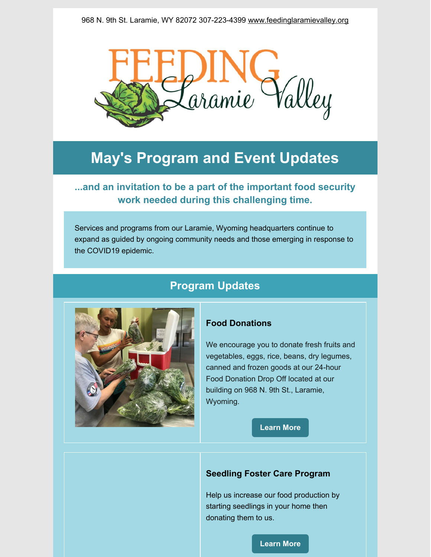

# **May's Program and Event Updates**

**...and an invitation to be a part of the important food security work needed during this challenging time.**

Services and programs from our Laramie, Wyoming headquarters continue to expand as guided by ongoing community needs and those emerging in response to the COVID19 epidemic.

# **Program Updates**



### **Food Donations**

We encourage you to donate fresh fruits and vegetables, eggs, rice, beans, dry legumes, canned and frozen goods at our 24-hour Food Donation Drop Off located at our building on 968 N. 9th St., Laramie, Wyoming.

**[Learn](https://www.feedinglaramievalley.org/fooddonations) More**

### **Seedling Foster Care Program**

Help us increase our food production by starting seedlings in your home then donating them to us.

#### **[Learn](https://www.feedinglaramievalley.org/seedlingfostercare) More**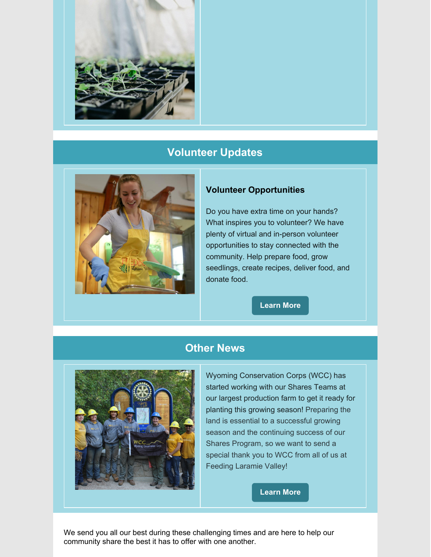

# **Volunteer Updates**



### **Volunteer Opportunities**

Do you have extra time on your hands? What inspires you to volunteer? We have plenty of virtual and in-person volunteer opportunities to stay connected with the community. Help prepare food, grow seedlings, create recipes, deliver food, and donate food.

**[Learn](https://www.feedinglaramievalley.org/volunteer) More**

# **Other News**



Wyoming Conservation Corps (WCC) has started working with our Shares Teams at our largest production farm to get it ready for planting this growing season! Preparing the land is essential to a successful growing season and the continuing success of our Shares Program, so we want to send a special thank you to WCC from all of us at Feeding Laramie Valley!

**[Learn](https://wyoconservationcorps.org/) More**

We send you all our best during these challenging times and are here to help our community share the best it has to offer with one another.